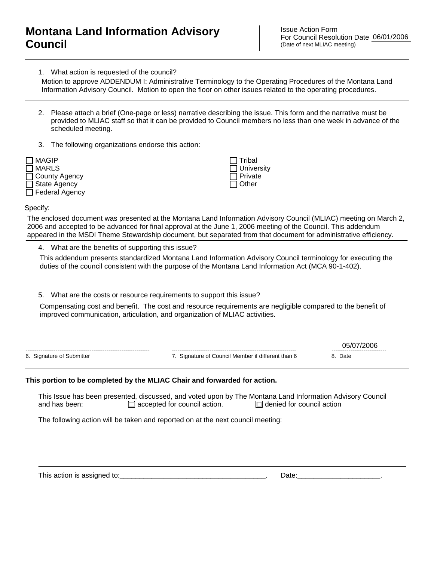## **Montana Land Information Advisory Council**

Issue Action Form For Council Resolution Date 06/01/2006 (Date of next MLIAC meeting)

1. What action is requested of the council?

Motion to approve ADDENDUM I: Administrative Terminology to the Operating Procedures of the Montana Land Information Advisory Council. Motion to open the floor on other issues related to the operating procedures.

- 2. Please attach a brief (One-page or less) narrative describing the issue. This form and the narrative must be provided to MLIAC staff so that it can be provided to Council members no less than one week in advance of the scheduled meeting.
- 3. The following organizations endorse this action:



 Tribal **University**  Private  $\Box$  Other

Specify:

The enclosed document was presented at the Montana Land Information Advisory Council (MLIAC) meeting on March 2, 2006 and accepted to be advanced for final approval at the June 1, 2006 meeting of the Council. This addendum appeared in the MSDI Theme Stewardship document, but separated from that document for administrative efficiency.

4. What are the benefits of supporting this issue?

This addendum presents standardized Montana Land Information Advisory Council terminology for executing the duties of the council consistent with the purpose of the Montana Land Information Act (MCA 90-1-402).

5. What are the costs or resource requirements to support this issue?

Compensating cost and benefit. The cost and resource requirements are negligible compared to the benefit of improved communication, articulation, and organization of MLIAC activities.

|                           |                                                 | ------------------------------ |
|---------------------------|-------------------------------------------------|--------------------------------|
| 6. Signature of Submitter | Signature of Council Member if different than 6 | Date                           |

## **This portion to be completed by the MLIAC Chair and forwarded for action.**

This Issue has been presented, discussed, and voted upon by The Montana Land Information Advisory Council and has been:  $\Box$  accepted for council action.  $\Box$  denied for council action

The following action will be taken and reported on at the next council meeting:

This action is assigned to:\_\_\_\_\_\_\_\_\_\_\_\_\_\_\_\_\_\_\_\_\_\_\_\_\_\_\_\_\_\_\_\_\_\_\_\_\_. Date:\_\_\_\_\_\_\_\_\_\_\_\_\_\_\_\_\_\_\_\_\_.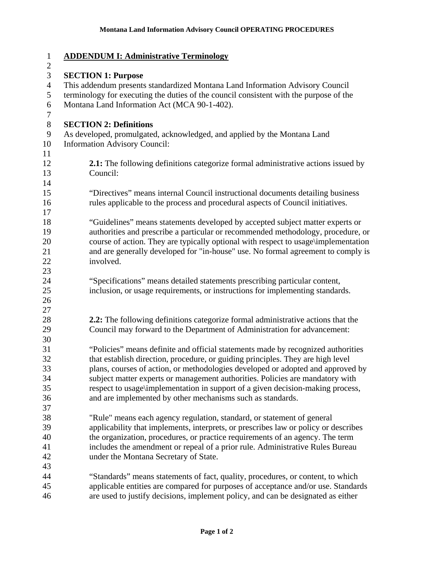| $\mathbf{1}$   | <b>ADDENDUM I: Administrative Terminology</b>                                          |
|----------------|----------------------------------------------------------------------------------------|
| $\overline{c}$ |                                                                                        |
| 3              | <b>SECTION 1: Purpose</b>                                                              |
| $\overline{4}$ | This addendum presents standardized Montana Land Information Advisory Council          |
| 5              | terminology for executing the duties of the council consistent with the purpose of the |
| 6<br>7         | Montana Land Information Act (MCA 90-1-402).                                           |
| $8\,$          | <b>SECTION 2: Definitions</b>                                                          |
| 9              | As developed, promulgated, acknowledged, and applied by the Montana Land               |
| 10             | <b>Information Advisory Council:</b>                                                   |
| 11             |                                                                                        |
| 12             | 2.1: The following definitions categorize formal administrative actions issued by      |
| 13             | Council:                                                                               |
| 14             |                                                                                        |
| 15             | "Directives" means internal Council instructional documents detailing business         |
| 16             | rules applicable to the process and procedural aspects of Council initiatives.         |
| 17             |                                                                                        |
| 18             | "Guidelines" means statements developed by accepted subject matter experts or          |
| 19             | authorities and prescribe a particular or recommended methodology, procedure, or       |
| 20             | course of action. They are typically optional with respect to usage\implementation     |
| 21             | and are generally developed for "in-house" use. No formal agreement to comply is       |
| 22             | involved.                                                                              |
| 23             |                                                                                        |
| 24             | "Specifications" means detailed statements prescribing particular content,             |
| 25             | inclusion, or usage requirements, or instructions for implementing standards.          |
| 26             |                                                                                        |
| 27             |                                                                                        |
| 28             | 2.2: The following definitions categorize formal administrative actions that the       |
| 29             | Council may forward to the Department of Administration for advancement:               |
| 30             |                                                                                        |
| 31             | "Policies" means definite and official statements made by recognized authorities       |
| 32             | that establish direction, procedure, or guiding principles. They are high level        |
| 33             | plans, courses of action, or methodologies developed or adopted and approved by        |
| 34<br>35       | subject matter experts or management authorities. Policies are mandatory with          |
| 36             | respect to usage\implementation in support of a given decision-making process,         |
| 37             | and are implemented by other mechanisms such as standards.                             |
| 38             | "Rule" means each agency regulation, standard, or statement of general                 |
| 39             | applicability that implements, interprets, or prescribes law or policy or describes    |
| 40             | the organization, procedures, or practice requirements of an agency. The term          |
| 41             | includes the amendment or repeal of a prior rule. Administrative Rules Bureau          |
| 42             | under the Montana Secretary of State.                                                  |
| 43             |                                                                                        |
| 44             | "Standards" means statements of fact, quality, procedures, or content, to which        |
| 45             | applicable entities are compared for purposes of acceptance and/or use. Standards      |
| 46             | are used to justify decisions, implement policy, and can be designated as either       |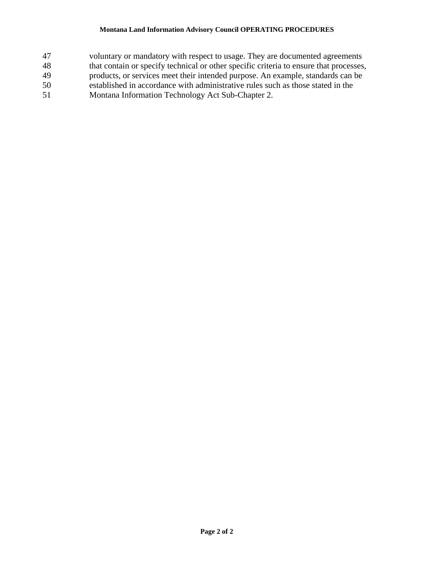## **Montana Land Information Advisory Council OPERATING PROCEDURES**

- 47 voluntary or mandatory with respect to usage. They are documented agreements
- 48 that contain or specify technical or other specific criteria to ensure that processes,
- 49 products, or services meet their intended purpose. An example, standards can be
- 50 established in accordance with administrative rules such as those stated in the
- 51 Montana Information Technology Act Sub-Chapter 2.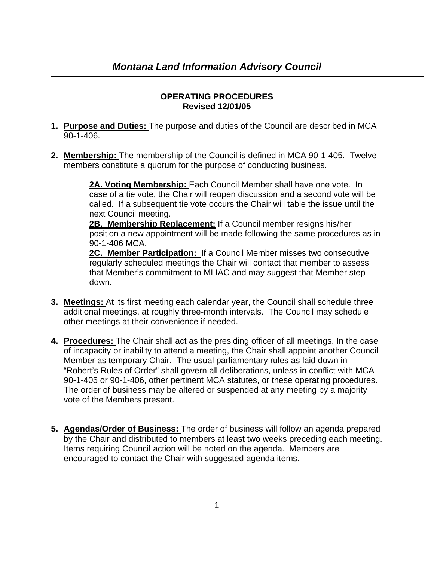## **OPERATING PROCEDURES Revised 12/01/05**

- **1. Purpose and Duties:** The purpose and duties of the Council are described in MCA 90-1-406.
- **2. Membership:** The membership of the Council is defined in MCA 90-1-405. Twelve members constitute a quorum for the purpose of conducting business.

**2A. Voting Membership:** Each Council Member shall have one vote. In case of a tie vote, the Chair will reopen discussion and a second vote will be called. If a subsequent tie vote occurs the Chair will table the issue until the next Council meeting.

**2B. Membership Replacement:** If a Council member resigns his/her position a new appointment will be made following the same procedures as in 90-1-406 MCA.

**2C. Member Participation:** If a Council Member misses two consecutive regularly scheduled meetings the Chair will contact that member to assess that Member's commitment to MLIAC and may suggest that Member step down.

- **3. Meetings:** At its first meeting each calendar year, the Council shall schedule three additional meetings, at roughly three-month intervals. The Council may schedule other meetings at their convenience if needed.
- **4. Procedures:** The Chair shall act as the presiding officer of all meetings. In the case of incapacity or inability to attend a meeting, the Chair shall appoint another Council Member as temporary Chair. The usual parliamentary rules as laid down in "Robert's Rules of Order" shall govern all deliberations, unless in conflict with MCA 90-1-405 or 90-1-406, other pertinent MCA statutes, or these operating procedures. The order of business may be altered or suspended at any meeting by a majority vote of the Members present.
- **5. Agendas/Order of Business:** The order of business will follow an agenda prepared by the Chair and distributed to members at least two weeks preceding each meeting. Items requiring Council action will be noted on the agenda. Members are encouraged to contact the Chair with suggested agenda items.